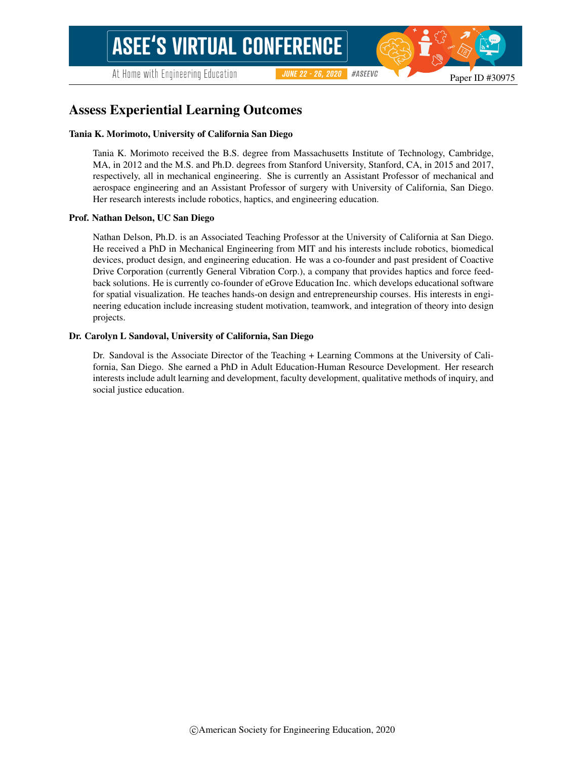At Home with Engineering Education

#ASEEVC **JUNE 22 - 26, 2020** 

# Assess Experiential Learning Outcomes

#### Tania K. Morimoto, University of California San Diego

Tania K. Morimoto received the B.S. degree from Massachusetts Institute of Technology, Cambridge, MA, in 2012 and the M.S. and Ph.D. degrees from Stanford University, Stanford, CA, in 2015 and 2017, respectively, all in mechanical engineering. She is currently an Assistant Professor of mechanical and aerospace engineering and an Assistant Professor of surgery with University of California, San Diego. Her research interests include robotics, haptics, and engineering education.

#### Prof. Nathan Delson, UC San Diego

Nathan Delson, Ph.D. is an Associated Teaching Professor at the University of California at San Diego. He received a PhD in Mechanical Engineering from MIT and his interests include robotics, biomedical devices, product design, and engineering education. He was a co-founder and past president of Coactive Drive Corporation (currently General Vibration Corp.), a company that provides haptics and force feedback solutions. He is currently co-founder of eGrove Education Inc. which develops educational software for spatial visualization. He teaches hands-on design and entrepreneurship courses. His interests in engineering education include increasing student motivation, teamwork, and integration of theory into design projects.

#### Dr. Carolyn L Sandoval, University of California, San Diego

Dr. Sandoval is the Associate Director of the Teaching + Learning Commons at the University of California, San Diego. She earned a PhD in Adult Education-Human Resource Development. Her research interests include adult learning and development, faculty development, qualitative methods of inquiry, and social justice education.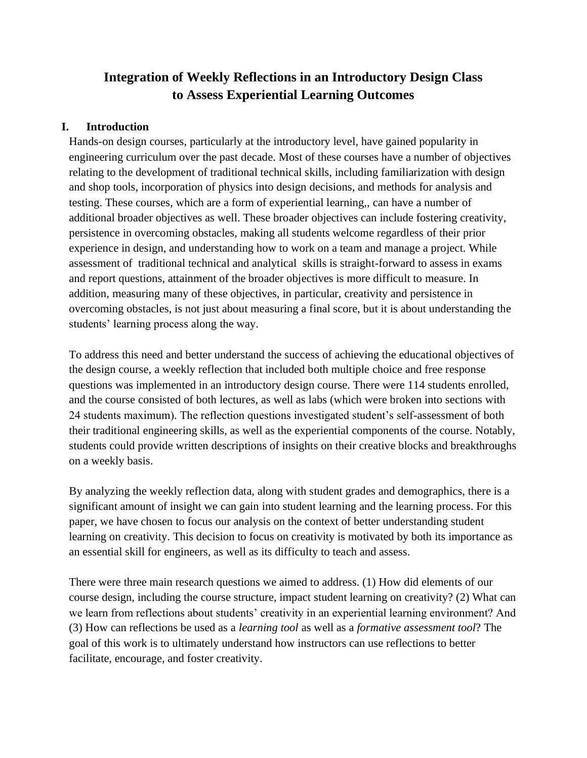# **Integration of Weekly Reflections in an Introductory Design Class to Assess Experiential Learning Outcomes**

# **I. Introduction**

Hands-on design courses, particularly at the introductory level, have gained popularity in engineering curriculum over the past decade. Most of these courses have a number of objectives relating to the development of traditional technical skills, including familiarization with design and shop tools, incorporation of physics into design decisions, and methods for analysis and testing. These courses, which are a form of experiential learning,, can have a number of additional broader objectives as well. These broader objectives can include fostering creativity, persistence in overcoming obstacles, making all students welcome regardless of their prior experience in design, and understanding how to work on a team and manage a project. While assessment of traditional technical and analytical skills is straight-forward to assess in exams and report questions, attainment of the broader objectives is more difficult to measure. In addition, measuring many of these objectives, in particular, creativity and persistence in overcoming obstacles, is not just about measuring a final score, but it is about understanding the students' learning process along the way.

To address this need and better understand the success of achieving the educational objectives of the design course, a weekly reflection that included both multiple choice and free response questions was implemented in an introductory design course. There were 114 students enrolled, and the course consisted of both lectures, as well as labs (which were broken into sections with 24 students maximum). The reflection questions investigated student's self-assessment of both their traditional engineering skills, as well as the experiential components of the course. Notably, students could provide written descriptions of insights on their creative blocks and breakthroughs on a weekly basis.

By analyzing the weekly reflection data, along with student grades and demographics, there is a significant amount of insight we can gain into student learning and the learning process. For this paper, we have chosen to focus our analysis on the context of better understanding student learning on creativity. This decision to focus on creativity is motivated by both its importance as an essential skill for engineers, as well as its difficulty to teach and assess.

There were three main research questions we aimed to address. (1) How did elements of our course design, including the course structure, impact student learning on creativity? (2) What can we learn from reflections about students' creativity in an experiential learning environment? And (3) How can reflections be used as a *learning tool* as well as a *formative assessment tool*? The goal of this work is to ultimately understand how instructors can use reflections to better facilitate, encourage, and foster creativity.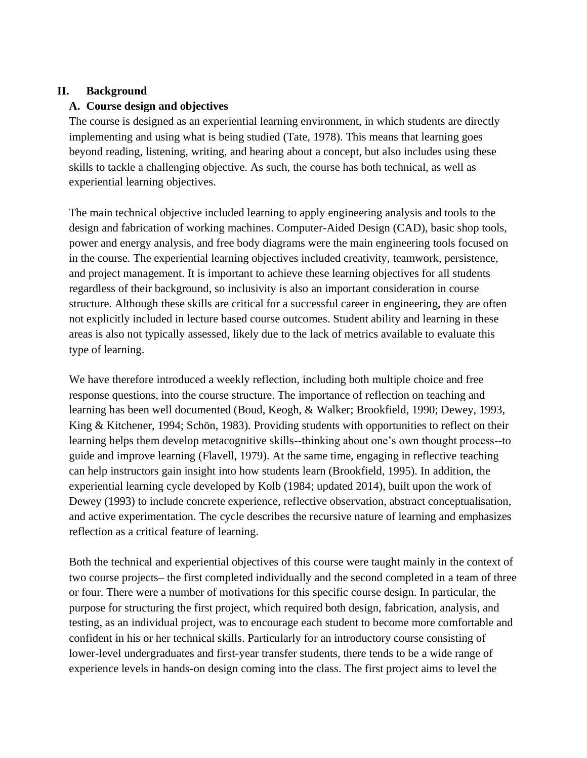# **II. Background**

## **A. Course design and objectives**

The course is designed as an experiential learning environment, in which students are directly implementing and using what is being studied (Tate, 1978). This means that learning goes beyond reading, listening, writing, and hearing about a concept, but also includes using these skills to tackle a challenging objective. As such, the course has both technical, as well as experiential learning objectives.

The main technical objective included learning to apply engineering analysis and tools to the design and fabrication of working machines. Computer-Aided Design (CAD), basic shop tools, power and energy analysis, and free body diagrams were the main engineering tools focused on in the course. The experiential learning objectives included creativity, teamwork, persistence, and project management. It is important to achieve these learning objectives for all students regardless of their background, so inclusivity is also an important consideration in course structure. Although these skills are critical for a successful career in engineering, they are often not explicitly included in lecture based course outcomes. Student ability and learning in these areas is also not typically assessed, likely due to the lack of metrics available to evaluate this type of learning.

We have therefore introduced a weekly reflection, including both multiple choice and free response questions, into the course structure. The importance of reflection on teaching and learning has been well documented (Boud, Keogh, & Walker; Brookfield, 1990; Dewey, 1993, King & Kitchener, 1994; Schön, 1983). Providing students with opportunities to reflect on their learning helps them develop metacognitive skills--thinking about one's own thought process--to guide and improve learning (Flavell, 1979). At the same time, engaging in reflective teaching can help instructors gain insight into how students learn (Brookfield, 1995). In addition, the experiential learning cycle developed by Kolb (1984; updated 2014), built upon the work of Dewey (1993) to include concrete experience, reflective observation, abstract conceptualisation, and active experimentation. The cycle describes the recursive nature of learning and emphasizes reflection as a critical feature of learning.

Both the technical and experiential objectives of this course were taught mainly in the context of two course projects– the first completed individually and the second completed in a team of three or four. There were a number of motivations for this specific course design. In particular, the purpose for structuring the first project, which required both design, fabrication, analysis, and testing, as an individual project, was to encourage each student to become more comfortable and confident in his or her technical skills. Particularly for an introductory course consisting of lower-level undergraduates and first-year transfer students, there tends to be a wide range of experience levels in hands-on design coming into the class. The first project aims to level the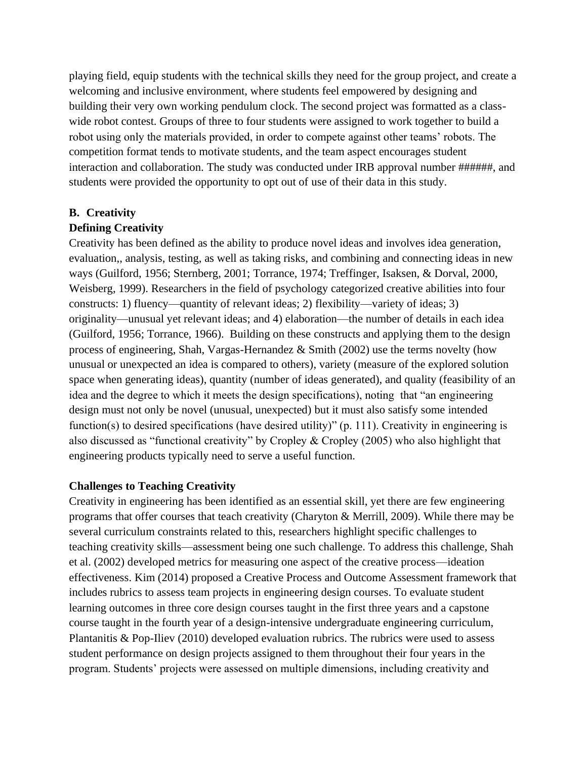playing field, equip students with the technical skills they need for the group project, and create a welcoming and inclusive environment, where students feel empowered by designing and building their very own working pendulum clock. The second project was formatted as a classwide robot contest. Groups of three to four students were assigned to work together to build a robot using only the materials provided, in order to compete against other teams' robots. The competition format tends to motivate students, and the team aspect encourages student interaction and collaboration. The study was conducted under IRB approval number ######, and students were provided the opportunity to opt out of use of their data in this study.

## **B. Creativity**

## **Defining Creativity**

Creativity has been defined as the ability to produce novel ideas and involves idea generation, evaluation,, analysis, testing, as well as taking risks, and combining and connecting ideas in new ways (Guilford, 1956; Sternberg, 2001; Torrance, 1974; Treffinger, Isaksen, & Dorval, 2000, Weisberg, 1999). Researchers in the field of psychology categorized creative abilities into four constructs: 1) fluency—quantity of relevant ideas; 2) flexibility—variety of ideas; 3) originality—unusual yet relevant ideas; and 4) elaboration—the number of details in each idea (Guilford, 1956; Torrance, 1966). Building on these constructs and applying them to the design process of engineering, Shah, Vargas-Hernandez & Smith (2002) use the terms novelty (how unusual or unexpected an idea is compared to others), variety (measure of the explored solution space when generating ideas), quantity (number of ideas generated), and quality (feasibility of an idea and the degree to which it meets the design specifications), noting that "an engineering design must not only be novel (unusual, unexpected) but it must also satisfy some intended function(s) to desired specifications (have desired utility)" (p. 111). Creativity in engineering is also discussed as "functional creativity" by Cropley & Cropley (2005) who also highlight that engineering products typically need to serve a useful function.

# **Challenges to Teaching Creativity**

Creativity in engineering has been identified as an essential skill, yet there are few engineering programs that offer courses that teach creativity (Charyton & Merrill, 2009). While there may be several curriculum constraints related to this, researchers highlight specific challenges to teaching creativity skills—assessment being one such challenge. To address this challenge, Shah et al. (2002) developed metrics for measuring one aspect of the creative process—ideation effectiveness. Kim (2014) proposed a Creative Process and Outcome Assessment framework that includes rubrics to assess team projects in engineering design courses. To evaluate student learning outcomes in three core design courses taught in the first three years and a capstone course taught in the fourth year of a design-intensive undergraduate engineering curriculum, Plantanitis & Pop-Iliev (2010) developed evaluation rubrics. The rubrics were used to assess student performance on design projects assigned to them throughout their four years in the program. Students' projects were assessed on multiple dimensions, including creativity and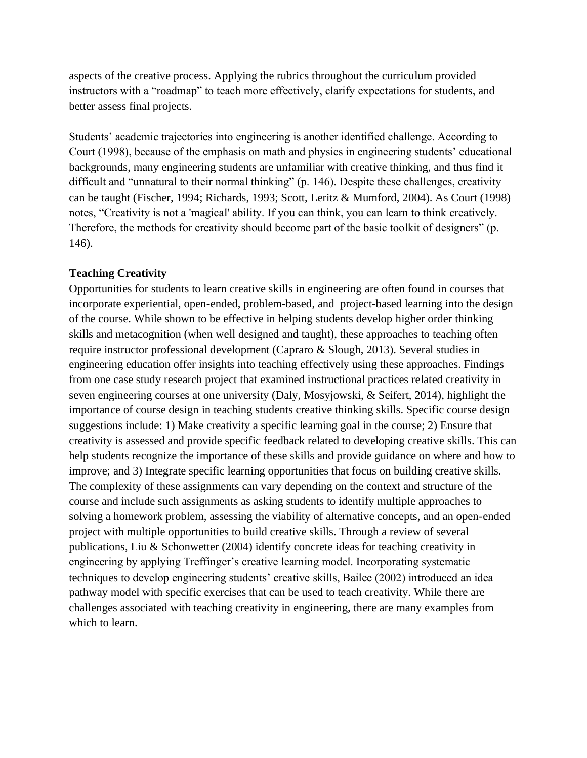aspects of the creative process. Applying the rubrics throughout the curriculum provided instructors with a "roadmap" to teach more effectively, clarify expectations for students, and better assess final projects.

Students' academic trajectories into engineering is another identified challenge. According to Court (1998), because of the emphasis on math and physics in engineering students' educational backgrounds, many engineering students are unfamiliar with creative thinking, and thus find it difficult and "unnatural to their normal thinking" (p. 146). Despite these challenges, creativity can be taught (Fischer, 1994; Richards, 1993; Scott, Leritz & Mumford, 2004). As Court (1998) notes, "Creativity is not a 'magical' ability. If you can think, you can learn to think creatively. Therefore, the methods for creativity should become part of the basic toolkit of designers" (p. 146).

## **Teaching Creativity**

Opportunities for students to learn creative skills in engineering are often found in courses that incorporate experiential, open-ended, problem-based, and project-based learning into the design of the course. While shown to be effective in helping students develop higher order thinking skills and metacognition (when well designed and taught), these approaches to teaching often require instructor professional development (Capraro & Slough, 2013). Several studies in engineering education offer insights into teaching effectively using these approaches. Findings from one case study research project that examined instructional practices related creativity in seven engineering courses at one university (Daly, Mosyjowski, & Seifert, 2014), highlight the importance of course design in teaching students creative thinking skills. Specific course design suggestions include: 1) Make creativity a specific learning goal in the course; 2) Ensure that creativity is assessed and provide specific feedback related to developing creative skills. This can help students recognize the importance of these skills and provide guidance on where and how to improve; and 3) Integrate specific learning opportunities that focus on building creative skills. The complexity of these assignments can vary depending on the context and structure of the course and include such assignments as asking students to identify multiple approaches to solving a homework problem, assessing the viability of alternative concepts, and an open-ended project with multiple opportunities to build creative skills. Through a review of several publications, Liu & Schonwetter (2004) identify concrete ideas for teaching creativity in engineering by applying Treffinger's creative learning model. Incorporating systematic techniques to develop engineering students' creative skills, Bailee (2002) introduced an idea pathway model with specific exercises that can be used to teach creativity. While there are challenges associated with teaching creativity in engineering, there are many examples from which to learn.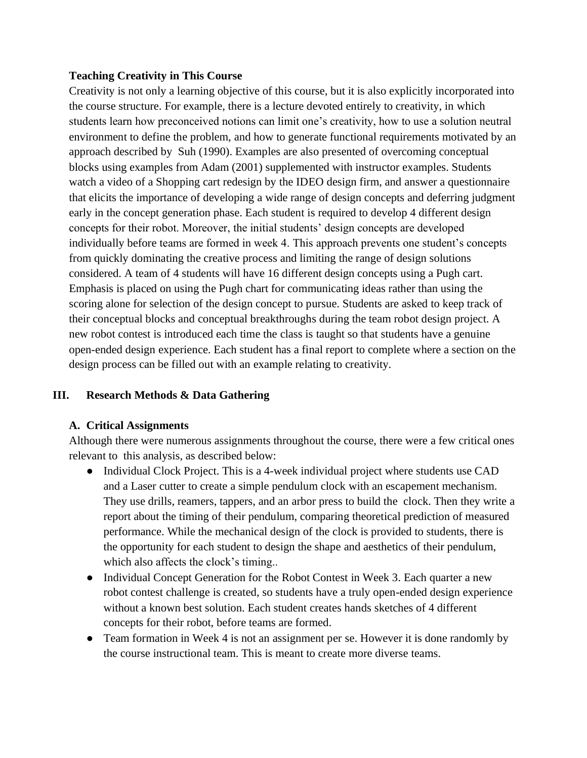# **Teaching Creativity in This Course**

Creativity is not only a learning objective of this course, but it is also explicitly incorporated into the course structure. For example, there is a lecture devoted entirely to creativity, in which students learn how preconceived notions can limit one's creativity, how to use a solution neutral environment to define the problem, and how to generate functional requirements motivated by an approach described by Suh (1990). Examples are also presented of overcoming conceptual blocks using examples from Adam (2001) supplemented with instructor examples. Students watch a video of a Shopping cart redesign by the IDEO design firm, and answer a questionnaire that elicits the importance of developing a wide range of design concepts and deferring judgment early in the concept generation phase. Each student is required to develop 4 different design concepts for their robot. Moreover, the initial students' design concepts are developed individually before teams are formed in week 4. This approach prevents one student's concepts from quickly dominating the creative process and limiting the range of design solutions considered. A team of 4 students will have 16 different design concepts using a Pugh cart. Emphasis is placed on using the Pugh chart for communicating ideas rather than using the scoring alone for selection of the design concept to pursue. Students are asked to keep track of their conceptual blocks and conceptual breakthroughs during the team robot design project. A new robot contest is introduced each time the class is taught so that students have a genuine open-ended design experience. Each student has a final report to complete where a section on the design process can be filled out with an example relating to creativity.

# **III. Research Methods & Data Gathering**

# **A. Critical Assignments**

Although there were numerous assignments throughout the course, there were a few critical ones relevant to this analysis, as described below:

- Individual Clock Project. This is a 4-week individual project where students use CAD and a Laser cutter to create a simple pendulum clock with an escapement mechanism. They use drills, reamers, tappers, and an arbor press to build the clock. Then they write a report about the timing of their pendulum, comparing theoretical prediction of measured performance. While the mechanical design of the clock is provided to students, there is the opportunity for each student to design the shape and aesthetics of their pendulum, which also affects the clock's timing...
- Individual Concept Generation for the Robot Contest in Week 3. Each quarter a new robot contest challenge is created, so students have a truly open-ended design experience without a known best solution. Each student creates hands sketches of 4 different concepts for their robot, before teams are formed.
- Team formation in Week 4 is not an assignment per se. However it is done randomly by the course instructional team. This is meant to create more diverse teams.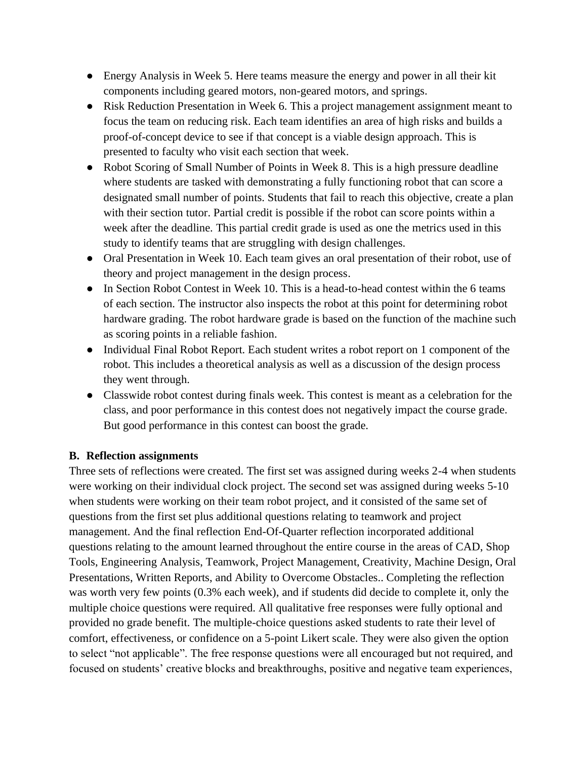- Energy Analysis in Week 5. Here teams measure the energy and power in all their kit components including geared motors, non-geared motors, and springs.
- Risk Reduction Presentation in Week 6. This a project management assignment meant to focus the team on reducing risk. Each team identifies an area of high risks and builds a proof-of-concept device to see if that concept is a viable design approach. This is presented to faculty who visit each section that week.
- Robot Scoring of Small Number of Points in Week 8. This is a high pressure deadline where students are tasked with demonstrating a fully functioning robot that can score a designated small number of points. Students that fail to reach this objective, create a plan with their section tutor. Partial credit is possible if the robot can score points within a week after the deadline. This partial credit grade is used as one the metrics used in this study to identify teams that are struggling with design challenges.
- Oral Presentation in Week 10. Each team gives an oral presentation of their robot, use of theory and project management in the design process.
- In Section Robot Contest in Week 10. This is a head-to-head contest within the 6 teams of each section. The instructor also inspects the robot at this point for determining robot hardware grading. The robot hardware grade is based on the function of the machine such as scoring points in a reliable fashion.
- Individual Final Robot Report. Each student writes a robot report on 1 component of the robot. This includes a theoretical analysis as well as a discussion of the design process they went through.
- Classwide robot contest during finals week. This contest is meant as a celebration for the class, and poor performance in this contest does not negatively impact the course grade. But good performance in this contest can boost the grade.

# **B. Reflection assignments**

Three sets of reflections were created. The first set was assigned during weeks 2-4 when students were working on their individual clock project. The second set was assigned during weeks 5-10 when students were working on their team robot project, and it consisted of the same set of questions from the first set plus additional questions relating to teamwork and project management. And the final reflection End-Of-Quarter reflection incorporated additional questions relating to the amount learned throughout the entire course in the areas of CAD, Shop Tools, Engineering Analysis, Teamwork, Project Management, Creativity, Machine Design, Oral Presentations, Written Reports, and Ability to Overcome Obstacles.. Completing the reflection was worth very few points (0.3% each week), and if students did decide to complete it, only the multiple choice questions were required. All qualitative free responses were fully optional and provided no grade benefit. The multiple-choice questions asked students to rate their level of comfort, effectiveness, or confidence on a 5-point Likert scale. They were also given the option to select "not applicable". The free response questions were all encouraged but not required, and focused on students' creative blocks and breakthroughs, positive and negative team experiences,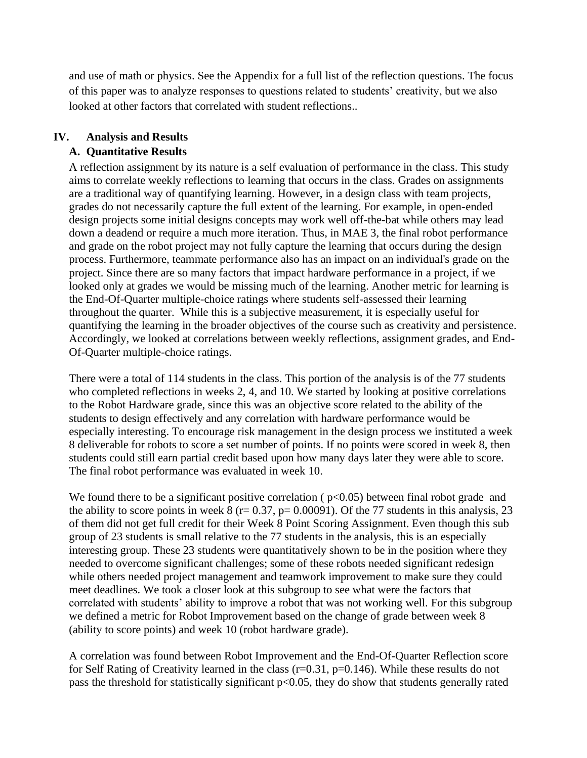and use of math or physics. See the Appendix for a full list of the reflection questions. The focus of this paper was to analyze responses to questions related to students' creativity, but we also looked at other factors that correlated with student reflections..

## **IV. Analysis and Results**

# **A. Quantitative Results**

A reflection assignment by its nature is a self evaluation of performance in the class. This study aims to correlate weekly reflections to learning that occurs in the class. Grades on assignments are a traditional way of quantifying learning. However, in a design class with team projects, grades do not necessarily capture the full extent of the learning. For example, in open-ended design projects some initial designs concepts may work well off-the-bat while others may lead down a deadend or require a much more iteration. Thus, in MAE 3, the final robot performance and grade on the robot project may not fully capture the learning that occurs during the design process. Furthermore, teammate performance also has an impact on an individual's grade on the project. Since there are so many factors that impact hardware performance in a project, if we looked only at grades we would be missing much of the learning. Another metric for learning is the End-Of-Quarter multiple-choice ratings where students self-assessed their learning throughout the quarter. While this is a subjective measurement, it is especially useful for quantifying the learning in the broader objectives of the course such as creativity and persistence. Accordingly, we looked at correlations between weekly reflections, assignment grades, and End-Of-Quarter multiple-choice ratings.

There were a total of 114 students in the class. This portion of the analysis is of the 77 students who completed reflections in weeks 2, 4, and 10. We started by looking at positive correlations to the Robot Hardware grade, since this was an objective score related to the ability of the students to design effectively and any correlation with hardware performance would be especially interesting. To encourage risk management in the design process we instituted a week 8 deliverable for robots to score a set number of points. If no points were scored in week 8, then students could still earn partial credit based upon how many days later they were able to score. The final robot performance was evaluated in week 10.

We found there to be a significant positive correlation ( $p<0.05$ ) between final robot grade and the ability to score points in week 8 ( $r= 0.37$ ,  $p= 0.00091$ ). Of the 77 students in this analysis, 23 of them did not get full credit for their Week 8 Point Scoring Assignment. Even though this sub group of 23 students is small relative to the 77 students in the analysis, this is an especially interesting group. These 23 students were quantitatively shown to be in the position where they needed to overcome significant challenges; some of these robots needed significant redesign while others needed project management and teamwork improvement to make sure they could meet deadlines. We took a closer look at this subgroup to see what were the factors that correlated with students' ability to improve a robot that was not working well. For this subgroup we defined a metric for Robot Improvement based on the change of grade between week 8 (ability to score points) and week 10 (robot hardware grade).

A correlation was found between Robot Improvement and the End-Of-Quarter Reflection score for Self Rating of Creativity learned in the class  $(r=0.31, p=0.146)$ . While these results do not pass the threshold for statistically significant p<0.05, they do show that students generally rated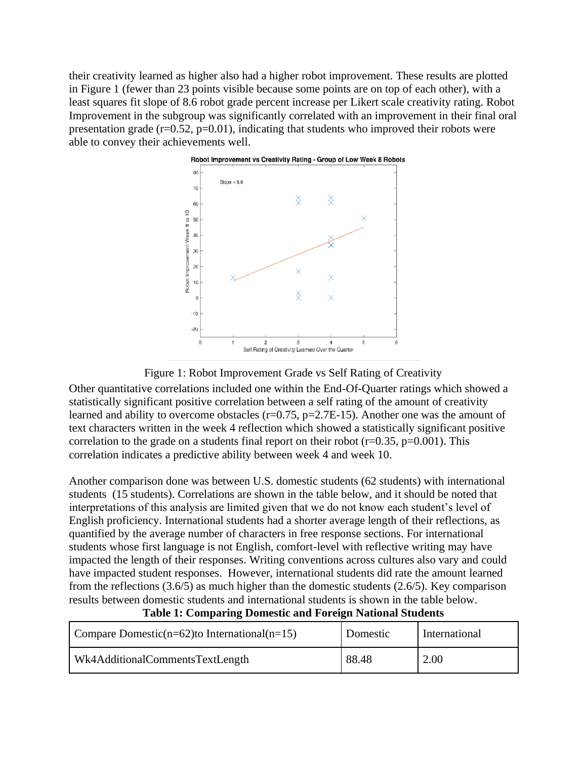their creativity learned as higher also had a higher robot improvement. These results are plotted in Figure 1 (fewer than 23 points visible because some points are on top of each other), with a least squares fit slope of 8.6 robot grade percent increase per Likert scale creativity rating. Robot Improvement in the subgroup was significantly correlated with an improvement in their final oral presentation grade  $(r=0.52, p=0.01)$ , indicating that students who improved their robots were able to convey their achievements well.



## Figure 1: Robot Improvement Grade vs Self Rating of Creativity

Other quantitative correlations included one within the End-Of-Quarter ratings which showed a statistically significant positive correlation between a self rating of the amount of creativity learned and ability to overcome obstacles  $(r=0.75, p=2.7E-15)$ . Another one was the amount of text characters written in the week 4 reflection which showed a statistically significant positive correlation to the grade on a students final report on their robot  $(r=0.35, p=0.001)$ . This correlation indicates a predictive ability between week 4 and week 10.

Another comparison done was between U.S. domestic students (62 students) with international students (15 students). Correlations are shown in the table below, and it should be noted that interpretations of this analysis are limited given that we do not know each student's level of English proficiency. International students had a shorter average length of their reflections, as quantified by the average number of characters in free response sections. For international students whose first language is not English, comfort-level with reflective writing may have impacted the length of their responses. Writing conventions across cultures also vary and could have impacted student responses. However, international students did rate the amount learned from the reflections (3.6/5) as much higher than the domestic students (2.6/5). Key comparison results between domestic students and international students is shown in the table below.

| Compare Domestic( $n=62$ )to International( $n=15$ ) | Domestic | International |
|------------------------------------------------------|----------|---------------|
| Wk4AdditionalCommentsTextLength                      | 88.48    | 2.00          |

#### **Table 1: Comparing Domestic and Foreign National Students**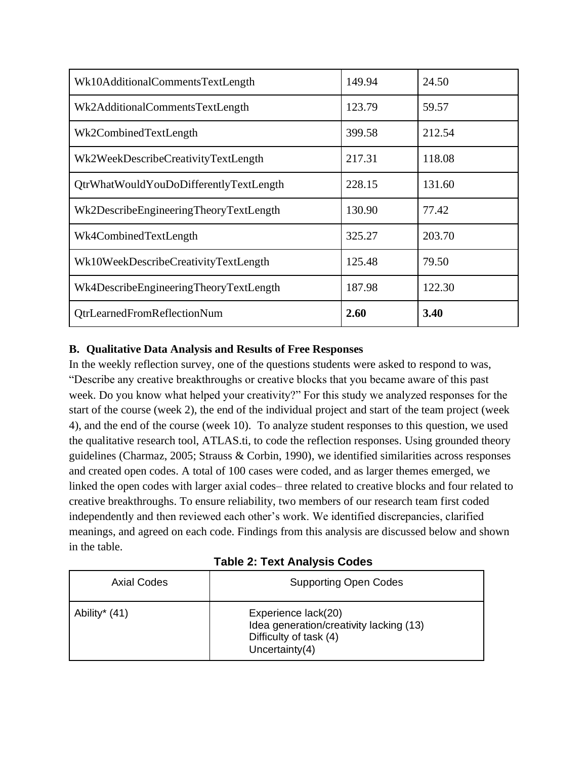| Wk10AdditionalCommentsTextLength       | 149.94 | 24.50  |
|----------------------------------------|--------|--------|
| Wk2AdditionalCommentsTextLength        | 123.79 | 59.57  |
| Wk2CombinedTextLength                  | 399.58 | 212.54 |
| Wk2WeekDescribeCreativityTextLength    | 217.31 | 118.08 |
| QtrWhatWouldYouDoDifferentlyTextLength | 228.15 | 131.60 |
| Wk2DescribeEngineeringTheoryTextLength | 130.90 | 77.42  |
| Wk4CombinedTextLength                  | 325.27 | 203.70 |
| Wk10WeekDescribeCreativityTextLength   | 125.48 | 79.50  |
| Wk4DescribeEngineeringTheoryTextLength | 187.98 | 122.30 |
| <b>QtrLearnedFromReflectionNum</b>     | 2.60   | 3.40   |

# **B. Qualitative Data Analysis and Results of Free Responses**

In the weekly reflection survey, one of the questions students were asked to respond to was, "Describe any creative breakthroughs or creative blocks that you became aware of this past week. Do you know what helped your creativity?" For this study we analyzed responses for the start of the course (week 2), the end of the individual project and start of the team project (week 4), and the end of the course (week 10). To analyze student responses to this question, we used the qualitative research tool, ATLAS.ti, to code the reflection responses. Using grounded theory guidelines (Charmaz, 2005; Strauss & Corbin, 1990), we identified similarities across responses and created open codes. A total of 100 cases were coded, and as larger themes emerged, we linked the open codes with larger axial codes– three related to creative blocks and four related to creative breakthroughs. To ensure reliability, two members of our research team first coded independently and then reviewed each other's work. We identified discrepancies, clarified meanings, and agreed on each code. Findings from this analysis are discussed below and shown in the table.

|  |  | <b>Table 2: Text Analysis Codes</b> |  |
|--|--|-------------------------------------|--|
|--|--|-------------------------------------|--|

| Axial Codes   | <b>Supporting Open Codes</b>                                                                                  |
|---------------|---------------------------------------------------------------------------------------------------------------|
| Ability* (41) | Experience lack(20)<br>Idea generation/creativity lacking (13)<br>Difficulty of task (4)<br>Uncertainty $(4)$ |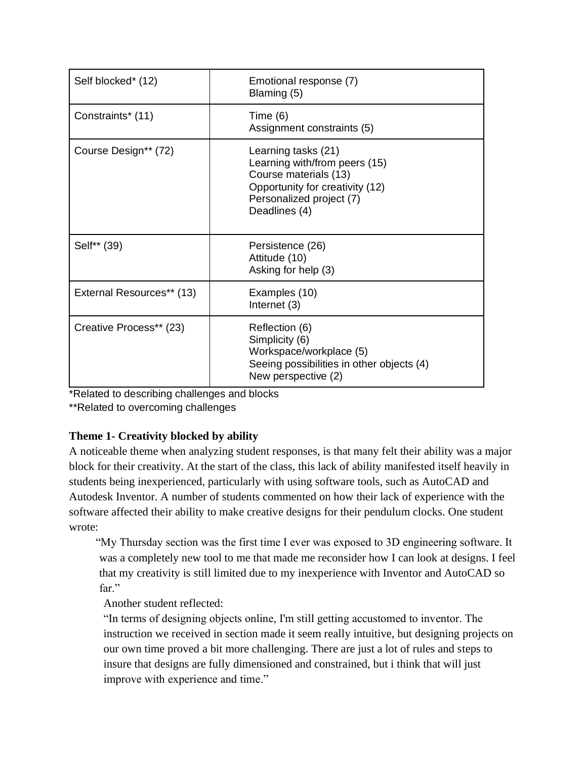| Self blocked* (12)        | Emotional response (7)<br>Blaming (5)                                                                                                                         |
|---------------------------|---------------------------------------------------------------------------------------------------------------------------------------------------------------|
| Constraints* (11)         | Time $(6)$<br>Assignment constraints (5)                                                                                                                      |
| Course Design** (72)      | Learning tasks (21)<br>Learning with/from peers (15)<br>Course materials (13)<br>Opportunity for creativity (12)<br>Personalized project (7)<br>Deadlines (4) |
| Self** (39)               | Persistence (26)<br>Attitude (10)<br>Asking for help (3)                                                                                                      |
| External Resources** (13) | Examples (10)<br>Internet (3)                                                                                                                                 |
| Creative Process** (23)   | Reflection (6)<br>Simplicity (6)<br>Workspace/workplace (5)<br>Seeing possibilities in other objects (4)<br>New perspective (2)                               |

\*Related to describing challenges and blocks

\*\*Related to overcoming challenges

# **Theme 1- Creativity blocked by ability**

A noticeable theme when analyzing student responses, is that many felt their ability was a major block for their creativity. At the start of the class, this lack of ability manifested itself heavily in students being inexperienced, particularly with using software tools, such as AutoCAD and Autodesk Inventor. A number of students commented on how their lack of experience with the software affected their ability to make creative designs for their pendulum clocks. One student wrote:

"My Thursday section was the first time I ever was exposed to 3D engineering software. It was a completely new tool to me that made me reconsider how I can look at designs. I feel that my creativity is still limited due to my inexperience with Inventor and AutoCAD so far."

Another student reflected:

"In terms of designing objects online, I'm still getting accustomed to inventor. The instruction we received in section made it seem really intuitive, but designing projects on our own time proved a bit more challenging. There are just a lot of rules and steps to insure that designs are fully dimensioned and constrained, but i think that will just improve with experience and time."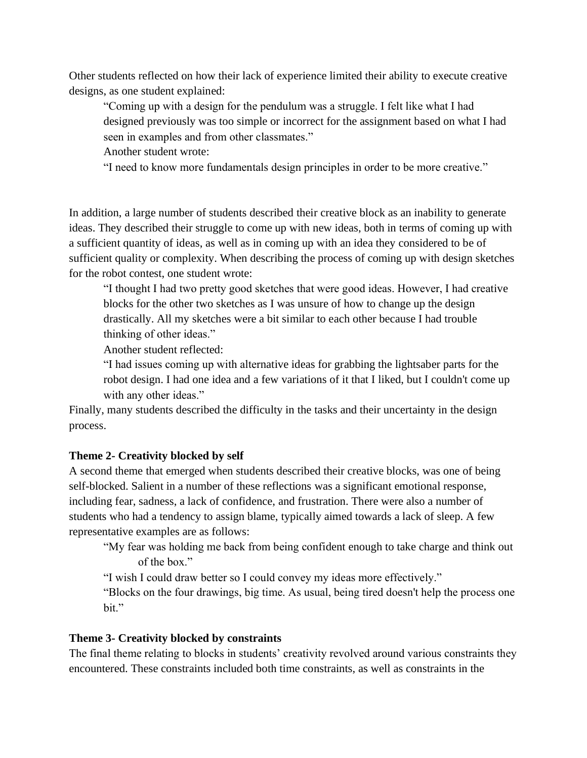Other students reflected on how their lack of experience limited their ability to execute creative designs, as one student explained:

"Coming up with a design for the pendulum was a struggle. I felt like what I had designed previously was too simple or incorrect for the assignment based on what I had seen in examples and from other classmates."

Another student wrote:

"I need to know more fundamentals design principles in order to be more creative."

In addition, a large number of students described their creative block as an inability to generate ideas. They described their struggle to come up with new ideas, both in terms of coming up with a sufficient quantity of ideas, as well as in coming up with an idea they considered to be of sufficient quality or complexity. When describing the process of coming up with design sketches for the robot contest, one student wrote:

"I thought I had two pretty good sketches that were good ideas. However, I had creative blocks for the other two sketches as I was unsure of how to change up the design drastically. All my sketches were a bit similar to each other because I had trouble thinking of other ideas."

Another student reflected:

"I had issues coming up with alternative ideas for grabbing the lightsaber parts for the robot design. I had one idea and a few variations of it that I liked, but I couldn't come up with any other ideas."

Finally, many students described the difficulty in the tasks and their uncertainty in the design process.

## **Theme 2- Creativity blocked by self**

A second theme that emerged when students described their creative blocks, was one of being self-blocked. Salient in a number of these reflections was a significant emotional response, including fear, sadness, a lack of confidence, and frustration. There were also a number of students who had a tendency to assign blame, typically aimed towards a lack of sleep. A few representative examples are as follows:

"My fear was holding me back from being confident enough to take charge and think out of the box."

"I wish I could draw better so I could convey my ideas more effectively."

"Blocks on the four drawings, big time. As usual, being tired doesn't help the process one bit."

## **Theme 3- Creativity blocked by constraints**

The final theme relating to blocks in students' creativity revolved around various constraints they encountered. These constraints included both time constraints, as well as constraints in the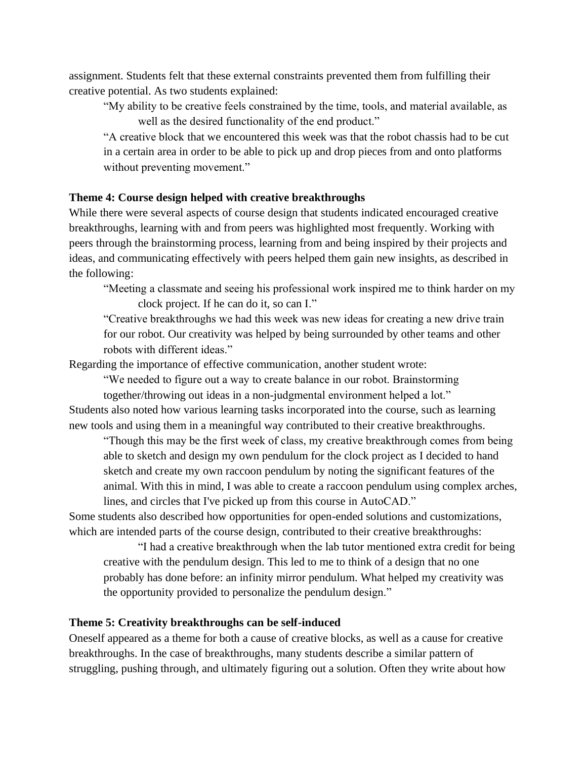assignment. Students felt that these external constraints prevented them from fulfilling their creative potential. As two students explained:

"My ability to be creative feels constrained by the time, tools, and material available, as well as the desired functionality of the end product."

"A creative block that we encountered this week was that the robot chassis had to be cut in a certain area in order to be able to pick up and drop pieces from and onto platforms without preventing movement."

## **Theme 4: Course design helped with creative breakthroughs**

While there were several aspects of course design that students indicated encouraged creative breakthroughs, learning with and from peers was highlighted most frequently. Working with peers through the brainstorming process, learning from and being inspired by their projects and ideas, and communicating effectively with peers helped them gain new insights, as described in the following:

"Meeting a classmate and seeing his professional work inspired me to think harder on my clock project. If he can do it, so can I."

"Creative breakthroughs we had this week was new ideas for creating a new drive train for our robot. Our creativity was helped by being surrounded by other teams and other robots with different ideas."

Regarding the importance of effective communication, another student wrote:

"We needed to figure out a way to create balance in our robot. Brainstorming

together/throwing out ideas in a non-judgmental environment helped a lot." Students also noted how various learning tasks incorporated into the course, such as learning new tools and using them in a meaningful way contributed to their creative breakthroughs.

"Though this may be the first week of class, my creative breakthrough comes from being able to sketch and design my own pendulum for the clock project as I decided to hand sketch and create my own raccoon pendulum by noting the significant features of the animal. With this in mind, I was able to create a raccoon pendulum using complex arches, lines, and circles that I've picked up from this course in AutoCAD."

Some students also described how opportunities for open-ended solutions and customizations, which are intended parts of the course design, contributed to their creative breakthroughs:

"I had a creative breakthrough when the lab tutor mentioned extra credit for being creative with the pendulum design. This led to me to think of a design that no one probably has done before: an infinity mirror pendulum. What helped my creativity was the opportunity provided to personalize the pendulum design."

## **Theme 5: Creativity breakthroughs can be self-induced**

Oneself appeared as a theme for both a cause of creative blocks, as well as a cause for creative breakthroughs. In the case of breakthroughs, many students describe a similar pattern of struggling, pushing through, and ultimately figuring out a solution. Often they write about how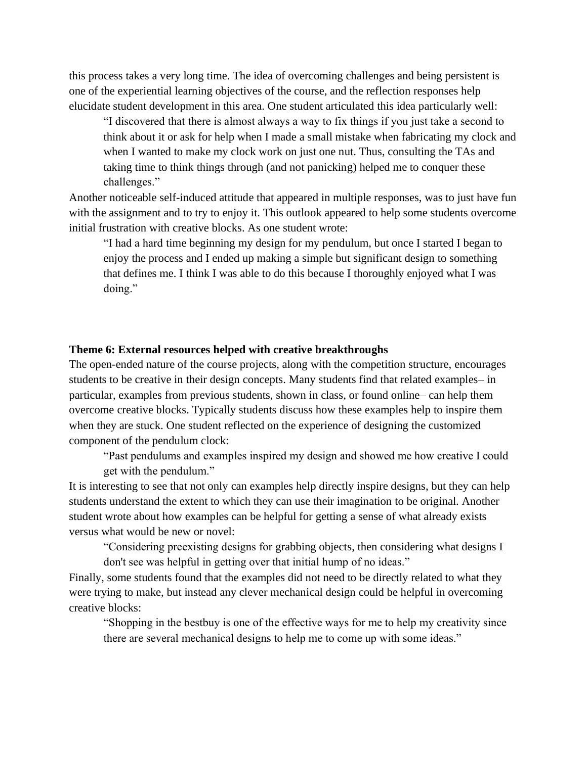this process takes a very long time. The idea of overcoming challenges and being persistent is one of the experiential learning objectives of the course, and the reflection responses help elucidate student development in this area. One student articulated this idea particularly well:

"I discovered that there is almost always a way to fix things if you just take a second to think about it or ask for help when I made a small mistake when fabricating my clock and when I wanted to make my clock work on just one nut. Thus, consulting the TAs and taking time to think things through (and not panicking) helped me to conquer these challenges."

Another noticeable self-induced attitude that appeared in multiple responses, was to just have fun with the assignment and to try to enjoy it. This outlook appeared to help some students overcome initial frustration with creative blocks. As one student wrote:

"I had a hard time beginning my design for my pendulum, but once I started I began to enjoy the process and I ended up making a simple but significant design to something that defines me. I think I was able to do this because I thoroughly enjoyed what I was doing."

#### **Theme 6: External resources helped with creative breakthroughs**

The open-ended nature of the course projects, along with the competition structure, encourages students to be creative in their design concepts. Many students find that related examples– in particular, examples from previous students, shown in class, or found online– can help them overcome creative blocks. Typically students discuss how these examples help to inspire them when they are stuck. One student reflected on the experience of designing the customized component of the pendulum clock:

"Past pendulums and examples inspired my design and showed me how creative I could get with the pendulum."

It is interesting to see that not only can examples help directly inspire designs, but they can help students understand the extent to which they can use their imagination to be original. Another student wrote about how examples can be helpful for getting a sense of what already exists versus what would be new or novel:

"Considering preexisting designs for grabbing objects, then considering what designs I don't see was helpful in getting over that initial hump of no ideas."

Finally, some students found that the examples did not need to be directly related to what they were trying to make, but instead any clever mechanical design could be helpful in overcoming creative blocks:

"Shopping in the bestbuy is one of the effective ways for me to help my creativity since there are several mechanical designs to help me to come up with some ideas."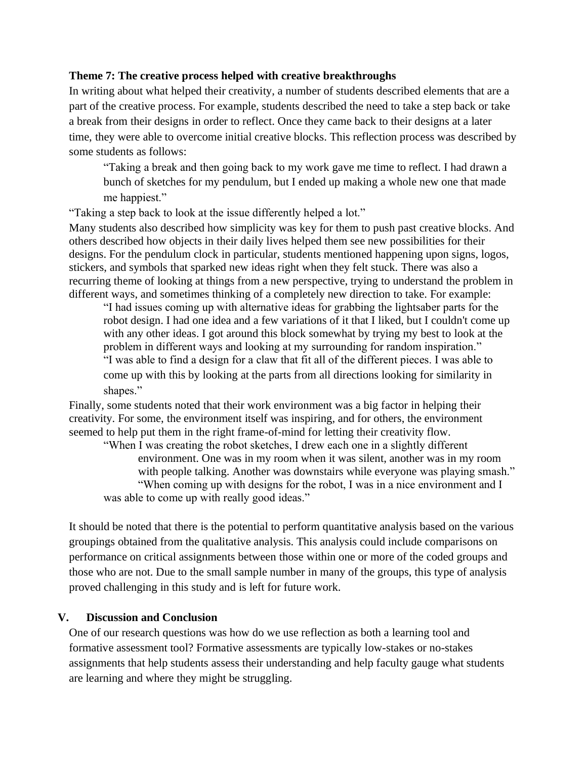## **Theme 7: The creative process helped with creative breakthroughs**

In writing about what helped their creativity, a number of students described elements that are a part of the creative process. For example, students described the need to take a step back or take a break from their designs in order to reflect. Once they came back to their designs at a later time, they were able to overcome initial creative blocks. This reflection process was described by some students as follows:

"Taking a break and then going back to my work gave me time to reflect. I had drawn a bunch of sketches for my pendulum, but I ended up making a whole new one that made me happiest."

"Taking a step back to look at the issue differently helped a lot."

Many students also described how simplicity was key for them to push past creative blocks. And others described how objects in their daily lives helped them see new possibilities for their designs. For the pendulum clock in particular, students mentioned happening upon signs, logos, stickers, and symbols that sparked new ideas right when they felt stuck. There was also a recurring theme of looking at things from a new perspective, trying to understand the problem in different ways, and sometimes thinking of a completely new direction to take. For example:

"I had issues coming up with alternative ideas for grabbing the lightsaber parts for the robot design. I had one idea and a few variations of it that I liked, but I couldn't come up with any other ideas. I got around this block somewhat by trying my best to look at the problem in different ways and looking at my surrounding for random inspiration." "I was able to find a design for a claw that fit all of the different pieces. I was able to come up with this by looking at the parts from all directions looking for similarity in shapes."

Finally, some students noted that their work environment was a big factor in helping their creativity. For some, the environment itself was inspiring, and for others, the environment seemed to help put them in the right frame-of-mind for letting their creativity flow.

"When I was creating the robot sketches, I drew each one in a slightly different environment. One was in my room when it was silent, another was in my room with people talking. Another was downstairs while everyone was playing smash." "When coming up with designs for the robot, I was in a nice environment and I was able to come up with really good ideas."

It should be noted that there is the potential to perform quantitative analysis based on the various groupings obtained from the qualitative analysis. This analysis could include comparisons on performance on critical assignments between those within one or more of the coded groups and those who are not. Due to the small sample number in many of the groups, this type of analysis proved challenging in this study and is left for future work.

## **V. Discussion and Conclusion**

One of our research questions was how do we use reflection as both a learning tool and formative assessment tool? Formative assessments are typically low-stakes or no-stakes assignments that help students assess their understanding and help faculty gauge what students are learning and where they might be struggling.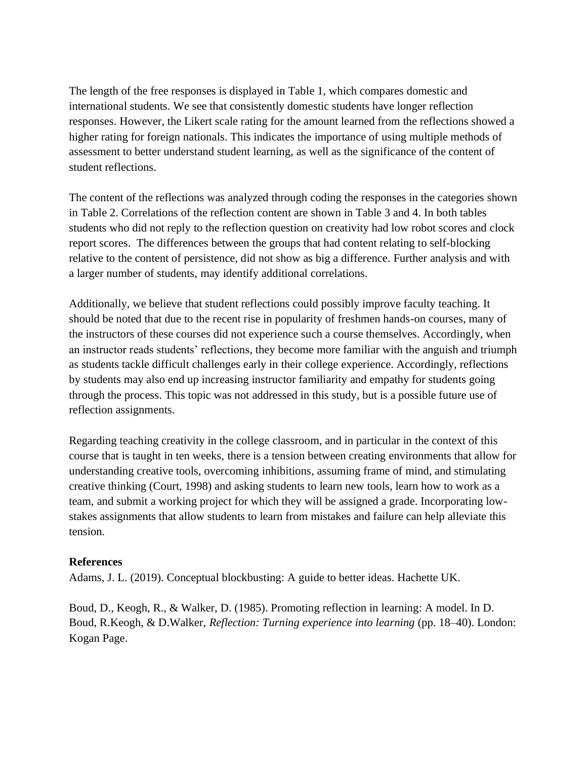The length of the free responses is displayed in Table 1, which compares domestic and international students. We see that consistently domestic students have longer reflection responses. However, the Likert scale rating for the amount learned from the reflections showed a higher rating for foreign nationals. This indicates the importance of using multiple methods of assessment to better understand student learning, as well as the significance of the content of student reflections.

The content of the reflections was analyzed through coding the responses in the categories shown in Table 2. Correlations of the reflection content are shown in Table 3 and 4. In both tables students who did not reply to the reflection question on creativity had low robot scores and clock report scores. The differences between the groups that had content relating to self-blocking relative to the content of persistence, did not show as big a difference. Further analysis and with a larger number of students, may identify additional correlations.

Additionally, we believe that student reflections could possibly improve faculty teaching. It should be noted that due to the recent rise in popularity of freshmen hands-on courses, many of the instructors of these courses did not experience such a course themselves. Accordingly, when an instructor reads students' reflections, they become more familiar with the anguish and triumph as students tackle difficult challenges early in their college experience. Accordingly, reflections by students may also end up increasing instructor familiarity and empathy for students going through the process. This topic was not addressed in this study, but is a possible future use of reflection assignments.

Regarding teaching creativity in the college classroom, and in particular in the context of this course that is taught in ten weeks, there is a tension between creating environments that allow for understanding creative tools, overcoming inhibitions, assuming frame of mind, and stimulating creative thinking (Court, 1998) and asking students to learn new tools, learn how to work as a team, and submit a working project for which they will be assigned a grade. Incorporating lowstakes assignments that allow students to learn from mistakes and failure can help alleviate this tension.

## **References**

Adams, J. L. (2019). Conceptual blockbusting: A guide to better ideas. Hachette UK.

Boud, D., Keogh, R., & Walker, D. (1985). Promoting reflection in learning: A model. In D. Boud, R.Keogh, & D.Walker, *Reflection: Turning experience into learning* (pp. 18–40). London: Kogan Page.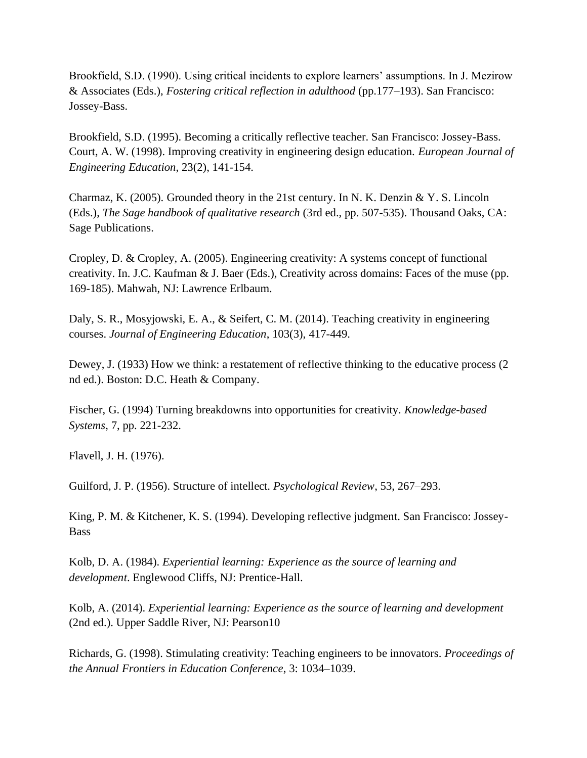Brookfield, S.D. (1990). Using critical incidents to explore learners' assumptions. In J. Mezirow & Associates (Eds.), *Fostering critical reflection in adulthood* (pp.177–193). San Francisco: Jossey-Bass.

Brookfield, S.D. (1995). Becoming a critically reflective teacher. San Francisco: Jossey-Bass. Court, A. W. (1998). Improving creativity in engineering design education. *European Journal of Engineering Education*, 23(2), 141-154.

Charmaz, K. (2005). Grounded theory in the 21st century. In N. K. Denzin & Y. S. Lincoln (Eds.), *The Sage handbook of qualitative research* (3rd ed., pp. 507-535). Thousand Oaks, CA: Sage Publications.

Cropley, D. & Cropley, A. (2005). Engineering creativity: A systems concept of functional creativity. In. J.C. Kaufman & J. Baer (Eds.), Creativity across domains: Faces of the muse (pp. 169-185). Mahwah, NJ: Lawrence Erlbaum.

Daly, S. R., Mosyjowski, E. A., & Seifert, C. M. (2014). Teaching creativity in engineering courses. *Journal of Engineering Education*, 103(3), 417-449.

Dewey, J. (1933) How we think: a restatement of reflective thinking to the educative process (2 nd ed.). Boston: D.C. Heath & Company.

Fischer, G. (1994) Turning breakdowns into opportunities for creativity. *Knowledge-based Systems*, 7, pp. 221-232.

Flavell, J. H. (1976).

Guilford, J. P. (1956). Structure of intellect. *Psychological Review*, 53, 267–293.

King, P. M. & Kitchener, K. S. (1994). Developing reflective judgment. San Francisco: Jossey-Bass

Kolb, D. A. (1984). *Experiential learning: Experience as the source of learning and development*. Englewood Cliffs, NJ: Prentice-Hall.

Kolb, A. (2014). *Experiential learning: Experience as the source of learning and development* (2nd ed.). Upper Saddle River, NJ: Pearson10

Richards, G. (1998). Stimulating creativity: Teaching engineers to be innovators. *Proceedings of the Annual Frontiers in Education Conference*, 3: 1034–1039.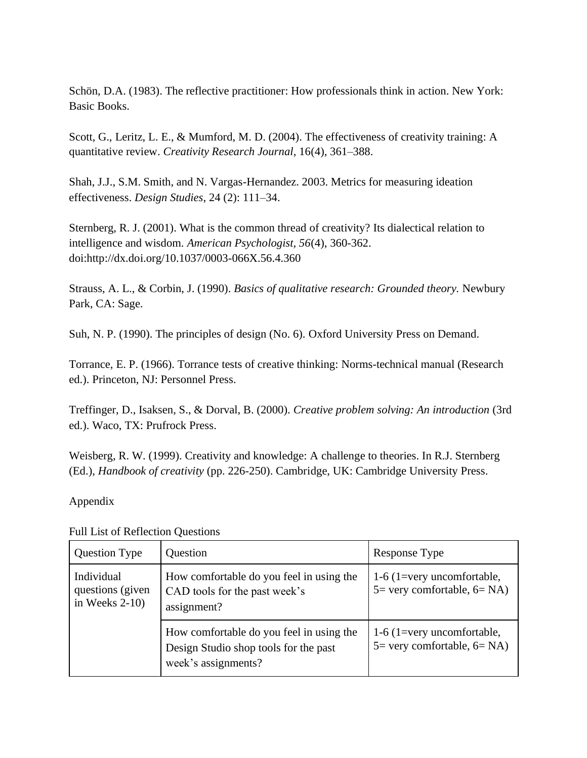Schön, D.A. (1983). The reflective practitioner: How professionals think in action. New York: Basic Books.

Scott, G., Leritz, L. E., & Mumford, M. D. (2004). The effectiveness of creativity training: A quantitative review. *Creativity Research Journal*, 16(4), 361–388.

Shah, J.J., S.M. Smith, and N. Vargas-Hernandez. 2003. Metrics for measuring ideation effectiveness. *Design Studies*, 24 (2): 111–34.

Sternberg, R. J. (2001). What is the common thread of creativity? Its dialectical relation to intelligence and wisdom. *American Psychologist, 56*(4), 360-362. doi:http://dx.doi.org/10.1037/0003-066X.56.4.360

Strauss, A. L., & Corbin, J. (1990). *Basics of qualitative research: Grounded theory.* Newbury Park, CA: Sage.

Suh, N. P. (1990). The principles of design (No. 6). Oxford University Press on Demand.

Torrance, E. P. (1966). Torrance tests of creative thinking: Norms-technical manual (Research ed.). Princeton, NJ: Personnel Press.

Treffinger, D., Isaksen, S., & Dorval, B. (2000). *Creative problem solving: An introduction* (3rd ed.). Waco, TX: Prufrock Press.

Weisberg, R. W. (1999). Creativity and knowledge: A challenge to theories. In R.J. Sternberg (Ed.), *Handbook of creativity* (pp. 226-250). Cambridge, UK: Cambridge University Press.

# Appendix

| <b>Question Type</b>                                | Question                                                                                                 | Response Type                                                              |
|-----------------------------------------------------|----------------------------------------------------------------------------------------------------------|----------------------------------------------------------------------------|
| Individual<br>questions (given<br>in Weeks $2-10$ ) | How comfortable do you feel in using the<br>CAD tools for the past week's<br>assignment?                 | 1-6 (1=very uncomfortable,<br>$5 = \text{very comfortable}, 6 = \text{NA}$ |
|                                                     | How comfortable do you feel in using the<br>Design Studio shop tools for the past<br>week's assignments? | 1-6 (1=very uncomfortable,<br>$5 = \text{very comfortable}, 6 = \text{NA}$ |

Full List of Reflection Questions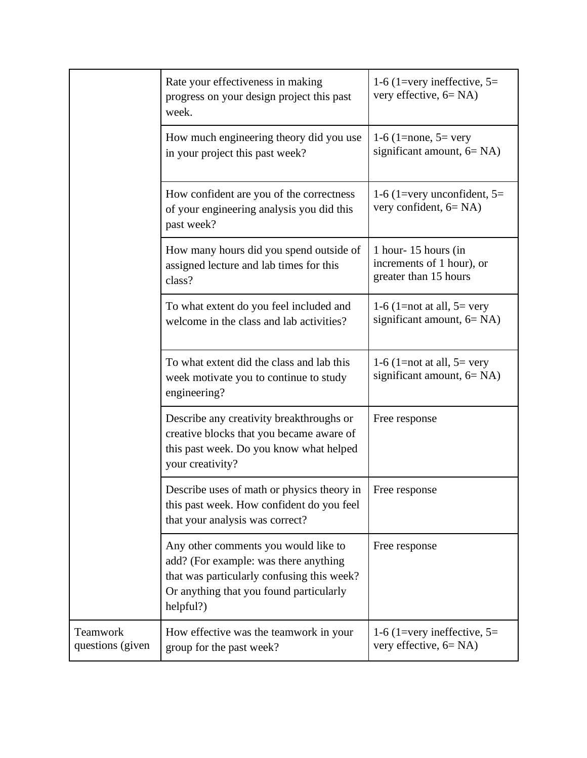|                              | Rate your effectiveness in making<br>progress on your design project this past<br>week.                                                                                             | 1-6 (1=very ineffective, $5=$<br>very effective, $6 = NA$ )               |
|------------------------------|-------------------------------------------------------------------------------------------------------------------------------------------------------------------------------------|---------------------------------------------------------------------------|
|                              | How much engineering theory did you use<br>in your project this past week?                                                                                                          | 1-6 (1=none, $5=$ very<br>significant amount, $6 = NA$ )                  |
|                              | How confident are you of the correctness<br>of your engineering analysis you did this<br>past week?                                                                                 | 1-6 (1=very unconfident, $5=$<br>very confident, $6 = NA$ )               |
|                              | How many hours did you spend outside of<br>assigned lecture and lab times for this<br>class?                                                                                        | 1 hour-15 hours (in<br>increments of 1 hour), or<br>greater than 15 hours |
|                              | To what extent do you feel included and<br>welcome in the class and lab activities?                                                                                                 | 1-6 (1=not at all, $5=$ very<br>significant amount, $6 = NA$ )            |
|                              | To what extent did the class and lab this<br>week motivate you to continue to study<br>engineering?                                                                                 | 1-6 (1=not at all, $5=$ very<br>significant amount, $6 = NA$ )            |
|                              | Describe any creativity breakthroughs or<br>creative blocks that you became aware of<br>this past week. Do you know what helped<br>your creativity?                                 | Free response                                                             |
|                              | Describe uses of math or physics theory in<br>this past week. How confident do you feel<br>that your analysis was correct?                                                          | Free response                                                             |
|                              | Any other comments you would like to<br>add? (For example: was there anything<br>that was particularly confusing this week?<br>Or anything that you found particularly<br>helpful?) | Free response                                                             |
| Teamwork<br>questions (given | How effective was the teamwork in your<br>group for the past week?                                                                                                                  | 1-6 (1=very ineffective, $5=$<br>very effective, $6 = NA$ )               |